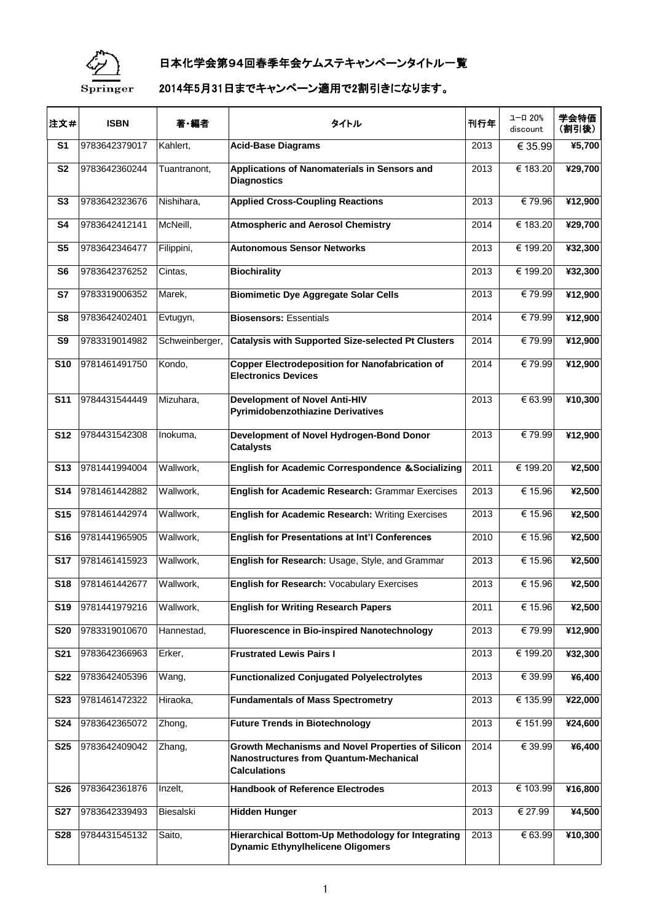

## 日本化学会第94回春季年会ケムステキャンペーンタイトル一覧

## 2014年5月31日までキャンペーン適用で2割引きになります。

| 注文#             | <b>ISBN</b>   | 著・編者           | タイトル                                                                                                                      | 刊行年  | ユーロ 20%<br>discount | 学会特価<br>(割引後) |
|-----------------|---------------|----------------|---------------------------------------------------------------------------------------------------------------------------|------|---------------------|---------------|
| S <sub>1</sub>  | 9783642379017 | Kahlert,       | <b>Acid-Base Diagrams</b>                                                                                                 | 2013 | € 35.99             | ¥5,700        |
| <b>S2</b>       | 9783642360244 | Tuantranont,   | Applications of Nanomaterials in Sensors and<br><b>Diagnostics</b>                                                        | 2013 | € 183.20            | ¥29,700       |
| S <sub>3</sub>  | 9783642323676 | Nishihara,     | <b>Applied Cross-Coupling Reactions</b>                                                                                   | 2013 | €79.96              | ¥12,900       |
| S <sub>4</sub>  | 9783642412141 | McNeill,       | <b>Atmospheric and Aerosol Chemistry</b>                                                                                  | 2014 | € 183.20            | ¥29,700       |
| S <sub>5</sub>  | 9783642346477 | Filippini,     | <b>Autonomous Sensor Networks</b>                                                                                         | 2013 | € 199.20            | ¥32,300       |
| S <sub>6</sub>  | 9783642376252 | Cintas,        | <b>Biochirality</b>                                                                                                       | 2013 | € 199.20            | ¥32,300       |
| S7              | 9783319006352 | Marek,         | <b>Biomimetic Dye Aggregate Solar Cells</b>                                                                               | 2013 | €79.99              | ¥12,900       |
| S8              | 9783642402401 | Evtugyn,       | <b>Biosensors: Essentials</b>                                                                                             | 2014 | €79.99              | ¥12,900       |
| S <sub>9</sub>  | 9783319014982 | Schweinberger, | <b>Catalysis with Supported Size-selected Pt Clusters</b>                                                                 | 2014 | €79.99              | ¥12,900       |
| <b>S10</b>      | 9781461491750 | Kondo,         | <b>Copper Electrodeposition for Nanofabrication of</b><br><b>Electronics Devices</b>                                      | 2014 | €79.99              | ¥12,900       |
| <b>S11</b>      | 9784431544449 | Mizuhara,      | <b>Development of Novel Anti-HIV</b><br><b>Pyrimidobenzothiazine Derivatives</b>                                          | 2013 | € 63.99             | ¥10,300       |
| <b>S12</b>      | 9784431542308 | Inokuma,       | Development of Novel Hydrogen-Bond Donor<br><b>Catalysts</b>                                                              | 2013 | €79.99              | ¥12,900       |
| <b>S13</b>      | 9781441994004 | Wallwork,      | <b>English for Academic Correspondence &amp; Socializing</b>                                                              | 2011 | € 199.20            | ¥2,500        |
| <b>S14</b>      | 9781461442882 | Wallwork,      | English for Academic Research: Grammar Exercises                                                                          | 2013 | € 15.96             | ¥2,500        |
| <b>S15</b>      | 9781461442974 | Wallwork,      | <b>English for Academic Research: Writing Exercises</b>                                                                   | 2013 | € 15.96             | ¥2,500        |
| <b>S16</b>      | 9781441965905 | Wallwork,      | <b>English for Presentations at Int'l Conferences</b>                                                                     | 2010 | € 15.96             | ¥2,500        |
| <b>S17</b>      | 9781461415923 | Wallwork,      | English for Research: Usage, Style, and Grammar                                                                           | 2013 | € 15.96             | ¥2,500        |
| <b>S18</b>      | 9781461442677 | Wallwork,      | English for Research: Vocabulary Exercises                                                                                | 2013 | € 15.96             | ¥2,500        |
| S <sub>19</sub> | 9781441979216 | Wallwork,      | <b>English for Writing Research Papers</b>                                                                                | 2011 | € 15.96             | ¥2,500        |
| <b>S20</b>      | 9783319010670 | Hannestad,     | <b>Fluorescence in Bio-inspired Nanotechnology</b>                                                                        | 2013 | €79.99              | ¥12,900       |
| <b>S21</b>      | 9783642366963 | Erker,         | <b>Frustrated Lewis Pairs I</b>                                                                                           | 2013 | € 199.20            | ¥32,300       |
| <b>S22</b>      | 9783642405396 | Wang,          | <b>Functionalized Conjugated Polyelectrolytes</b>                                                                         | 2013 | € 39.99             | ¥6,400        |
| <b>S23</b>      | 9781461472322 | Hiraoka,       | <b>Fundamentals of Mass Spectrometry</b>                                                                                  | 2013 | € 135.99            | ¥22,000       |
| <b>S24</b>      | 9783642365072 | Zhong,         | <b>Future Trends in Biotechnology</b>                                                                                     | 2013 | € 151.99            | ¥24,600       |
| <b>S25</b>      | 9783642409042 | Zhang,         | Growth Mechanisms and Novel Properties of Silicon<br><b>Nanostructures from Quantum-Mechanical</b><br><b>Calculations</b> | 2014 | € 39.99             | ¥6,400        |
| <b>S26</b>      | 9783642361876 | Inzelt,        | <b>Handbook of Reference Electrodes</b>                                                                                   | 2013 | € 103.99            | ¥16,800       |
| <b>S27</b>      | 9783642339493 | Biesalski      | <b>Hidden Hunger</b>                                                                                                      | 2013 | € 27.99             | ¥4,500        |
| <b>S28</b>      | 9784431545132 | Saito,         | Hierarchical Bottom-Up Methodology for Integrating<br><b>Dynamic Ethynylhelicene Oligomers</b>                            | 2013 | € 63.99             | ¥10,300       |